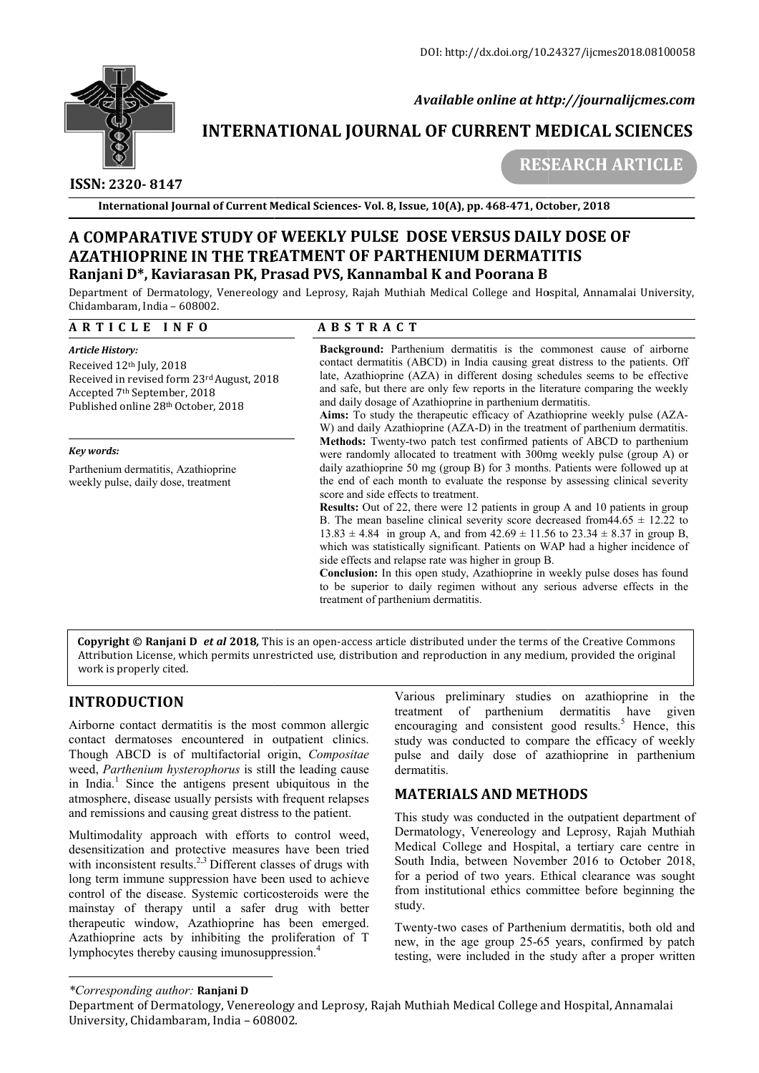

 *Available online at http://journalijcmes.com*

# **INTERNATIONAL JOURNAL OF CURRENT MEDICAL SCIENCES**

# **ISSN: 2320- 8147**

 **RESEARCH**

**International Journal of Current Medical Sciences- Vol. 8, Issue, 10(A), pp. 468-471, October, 2018** 

# **A COMPARATIVE STUDY OF WEEKLY PULSE DOSE VERSUS DAILY DOSE OF A COMPARATIVE STUDY OF WEEKLY PULSE DOSE VERSUS DAILY DOSE OF AZATHIOPRINE IN THE TREATMENT OF PARTHENIUM AZATHIOPRINE IN THE TREATMENT OF PARTHENIUM DERMATITIS Ranjani D\*, Kaviarasan PK, Prasad PVS, Kannambal K and Poorana B**

Department of Dermatology, Venereology and Leprosy, Rajah Muthiah Medical College and Hospital, Annamalai University, Chidambaram, India – 608002.

### **A R T I C L E I N F O**

## **A B S T R A C T**

*Article History:*  Received 12th July, 2018 Received in revised form 23rd August, 2018 Accepted 7th September, 2018 Published online 28th October, 2018

*Key words:*

Parthenium dermatitis, Azathioprine weekly pulse, daily dose, treatment

**Background:** Parthenium dermatitis is the commonest cause of airborne contact dermatitis (ABCD) in India causing great distress to the patients. Off late, Azathioprine (AZA) in different dosing schedules seems to be effec contact dermatitis (ABCD) in India causing great distress to the patients. Off late, Azathioprine (AZA) in different dosing schedules seems to be effective and safe, but there are only few reports in the literature comparing the weekly and daily dosage of Azathioprine in parthenium dermatitis.

Aims: To study the therapeutic efficacy of Azathioprine weekly pulse (AZA-W) and daily Azathioprine (AZA-D) in the treatment of parthenium dermatitis. **Methods:** Twenty-two patch test confirmed patients of ABCD to parthenium were randomly allocated to treatment with 300mg weekly pulse (group A) or daily azathioprine 50 mg (group B) for 3 months. Patients were followed up at the end of each month to evaluate the response by assessing clinical severity score and side effects to treatment. **STUDY OF WEEKLY PULSE DOSE OF WEEKLY PULSE DOSE OF WEEKLY PULSE DOSE OF WEEKLY PULSE DOSE WEEK AS CTRIMBOT OF PARTHEINING NATION DERMITTIS SSAM PRE PRACTITS (SAMPARTITIS (AS ALT A G T T A G T T A G T T A G T A G T A G T** W) and daily Azathioprine (AZA-D) in the treatment of parthenium dermatitis.<br>**Methods:** Twenty-two patch test confirmed patients of ABCD to parthenium<br>were randomly allocated to treatment with 300mg weekly pulse (group A) DOI: http://dxdoi.org/10.24327/ijcmes2018.08100058<br> **Available online at http://journalijcmes.com**<br> **JOURNAL OF CURRENT MEDICAL SCIENCES**<br> **RESEARCH ARTICLE**<br> **RESEARCH ARTICLE**<br> **RESEARCH ARTICLE**<br> **RESEARCH ARTICLE**<br> **R** 

**Results:** Out of 22, there were 12 patients in group A and 10 patients in group B. The mean baseline clinical severity score decreased from  $44.65 \pm 12.22$  to  $13.83 \pm 4.84$  in group A, and from  $42.69 \pm 11.56$  to  $23.34 \pm 8.37$  in group B, which was statistically significant. Patients on WAP had a higher incidence of side effects and relapse rate was higher in group B.

**Conclusion:** In this open study, Azathioprine in weekly pulse doses has to be superior to daily regimen without any serious adverse effects in the treatment of parthenium dermatitis.

**Copyright © Ranjani D** et al 2018, This is an open-access article distributed under the terms of the Creative Commons Attribution License, which permits unrestricted use, distribution and reproduction in any medium, provided the original work is properly cited. superior to daily regimen without any serious adverse effects in the<br>ent of parthenium dermatitis.<br>Cross article distributed under the terms of the Creative Commons<br>stribution and reproduction in any medium, provided the o

# **INTRODUCTION**

Airborne contact dermatitis is the most common allergic contact dermatoses encountered in outpatient clinics. Though ABCD is of multifactorial origin, Compositae weed, *Parthenium hysterophorus* is still the leading cause in India.<sup>1</sup> Since the antigens present ubiquitous in the atmosphere, disease usually persists with frequent relapses and remissions and causing great distress to the patient.

Multimodality approach with efforts to control weed, desensitization and protective measures have been tried with inconsistent results.<sup>2,3</sup> Different classes of drugs with long term immune suppression have been used to achieve control of the disease. Systemic corticosteroids were the mainstay of therapy until a safer drug with better therapeutic window, Azathioprine has been emerged. Azathioprine acts by inhibiting the proliferation of T lymphocytes thereby causing imunosuppression.<sup>4</sup>

Various preliminary studies on azathioprine in the treatment of parthenium dermatitis have given encouraging and consistent good results.<sup>5</sup> Hence, this study was conducted to compare the efficacy of weekly pulse and daily dose of azathioprine in parthenium dermatitis.

## **MATERIALS AND METHODS**

This study was conducted in the outpatient department of Dermatology, Venereology and Leprosy, Rajah Muthiah Medical College and Hospital, a tertiary care centre in South India, between November 2016 to October 2018, for a period of two years. Ethical clearance was sought from institutional ethics committee before beginning the study. **AAL OF CURRENT MEDICAL SCIENCES**<br> **RESEARCH ARTICLE**<br> **ISSUE, 10(A), pp. 468-471, October, 2018**<br> **C DOSE VERSUE DAILY DOSE OF**<br> **C DOSE VERSUES DAILY DOSE OF**<br> **C DOSE VERSUES DAILY DOSE OF**<br> **C** T and **P** compare and H

Twenty-two cases of Parthenium dermatitis, both old and new, in the age group 25-65 years, confirmed by patch testing, were included in the study after a proper written

#### *\*Corresponding author:* **Ranjani D**

Department of Dermatology, Venereology and Leprosy, Rajah Muthiah Medical College and Hospital, Annamalai University, Chidambaram, India – 608002.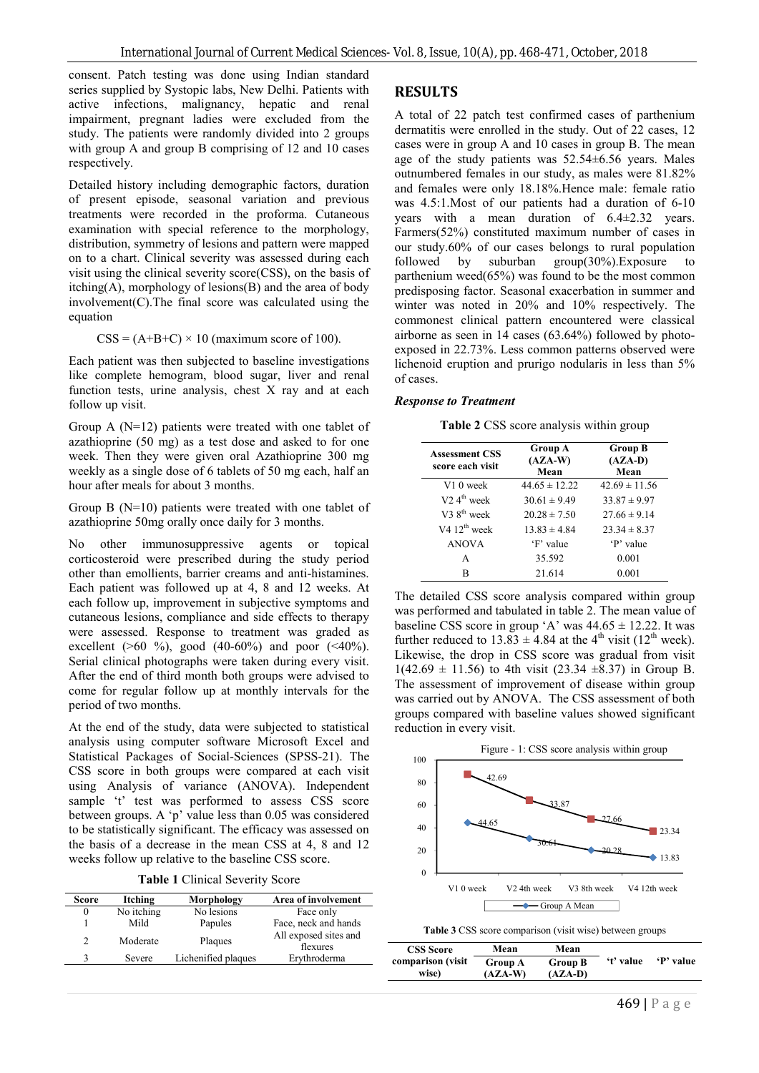consent. Patch testing was done using Indian standard series supplied by Systopic labs, New Delhi. Patients with active infections, malignancy, hepatic and renal impairment, pregnant ladies were excluded from the study. The patients were randomly divided into 2 groups with group A and group B comprising of 12 and 10 cases respectively.

Detailed history including demographic factors, duration of present episode, seasonal variation and previous treatments were recorded in the proforma. Cutaneous examination with special reference to the morphology, distribution, symmetry of lesions and pattern were mapped on to a chart. Clinical severity was assessed during each visit using the clinical severity score(CSS), on the basis of itching(A), morphology of lesions(B) and the area of body  $involvement(C).$  The final score was calculated using the equation

$$
CSS = (A+B+C) \times 10
$$
 (maximum score of 100).

Each patient was then subjected to baseline investigations like complete hemogram, blood sugar, liver and renal function tests, urine analysis, chest X ray and at each follow up visit.

Group A (N=12) patients were treated with one tablet of azathioprine (50 mg) as a test dose and asked to for one week. Then they were given oral Azathioprine 300 mg weekly as a single dose of 6 tablets of 50 mg each, half an hour after meals for about 3 months.

Group B  $(N=10)$  patients were treated with one tablet of azathioprine 50mg orally once daily for 3 months.

No other immunosuppressive agents or topical corticosteroid were prescribed during the study period other than emollients, barrier creams and anti-histamines. Each patient was followed up at 4, 8 and 12 weeks. At each follow up, improvement in subjective symptoms and cutaneous lesions, compliance and side effects to therapy were assessed. Response to treatment was graded as excellent ( $>60\%$ ), good (40-60%) and poor (<40%). Serial clinical photographs were taken during every visit. After the end of third month both groups were advised to come for regular follow up at monthly intervals for the period of two months.

At the end of the study, data were subjected to statistical analysis using computer software Microsoft Excel and Statistical Packages of Social-Sciences (SPSS-21). The CSS score in both groups were compared at each visit using Analysis of variance (ANOVA). Independent sample 't' test was performed to assess CSS score between groups. A 'p' value less than 0.05 was considered to be statistically significant. The efficacy was assessed on the basis of a decrease in the mean CSS at 4, 8 and 12 weeks follow up relative to the baseline CSS score.

| <b>Table 1 Clinical Severity Score</b> |  |
|----------------------------------------|--|
|----------------------------------------|--|

| Score         | Itching    | Morphology          | Area of involvement               |
|---------------|------------|---------------------|-----------------------------------|
| $\theta$      | No itching | No lesions          | Face only                         |
|               | Mild       | Papules             | Face, neck and hands              |
| $\mathcal{D}$ | Moderate   | Plaques             | All exposed sites and<br>flexures |
| 3             | Severe     | Lichenified plaques | Erythroderma                      |

#### **RESULTS**

A total of 22 patch test confirmed cases of parthenium dermatitis were enrolled in the study. Out of 22 cases, 12 cases were in group A and 10 cases in group B. The mean age of the study patients was 52.54±6.56 years. Males outnumbered females in our study, as males were 81.82% and females were only 18.18%.Hence male: female ratio was 4.5:1.Most of our patients had a duration of 6-10 years with a mean duration of 6.4±2.32 years. Farmers(52%) constituted maximum number of cases in our study.60% of our cases belongs to rural population followed by suburban group( $30\%$ ).Exposure to followed by suburban group(30%).Exposure to parthenium weed(65%) was found to be the most common predisposing factor. Seasonal exacerbation in summer and winter was noted in 20% and 10% respectively. The commonest clinical pattern encountered were classical airborne as seen in 14 cases (63.64%) followed by photoexposed in 22.73%. Less common patterns observed were lichenoid eruption and prurigo nodularis in less than 5% of cases.

#### *Response to Treatment*

**Table 2** CSS score analysis within group

| <b>Group A</b><br>$(AZA-W)$<br>Mean | <b>Group B</b><br>$(AZA-D)$<br>Mean |
|-------------------------------------|-------------------------------------|
| $44.65 \pm 12.22$                   | $42.69 \pm 11.56$                   |
| $30.61 \pm 9.49$                    | $33.87 \pm 9.97$                    |
| $20.28 \pm 7.50$                    | $27.66 \pm 9.14$                    |
| $13.83 \pm 4.84$                    | $23.34 \pm 8.37$                    |
| 'F' value                           | 'P' value                           |
| 35.592                              | 0.001                               |
| 21.614                              | 0.001                               |
|                                     |                                     |

The detailed CSS score analysis compared within group was performed and tabulated in table 2. The mean value of baseline CSS score in group 'A' was  $44.65 \pm 12.22$ . It was further reduced to  $13.83 \pm 4.84$  at the 4<sup>th</sup> visit (12<sup>th</sup> week). Likewise, the drop in CSS score was gradual from visit  $1(42.69 \pm 11.56)$  to 4th visit (23.34  $\pm$ 8.37) in Group B. The assessment of improvement of disease within group was carried out by ANOVA. The CSS assessment of both groups compared with baseline values showed significant reduction in every visit.



| Table 3 CSS score comparison (visit wise) between groups |  |  |
|----------------------------------------------------------|--|--|
|                                                          |  |  |

| <b>CSS</b> Score           | Mean                        | Mean                        |           |           |
|----------------------------|-----------------------------|-----------------------------|-----------|-----------|
| comparison (visit<br>wise) | <b>Group A</b><br>$(AZA-W)$ | <b>Group B</b><br>$(AZA-D)$ | 't' value | 'P' value |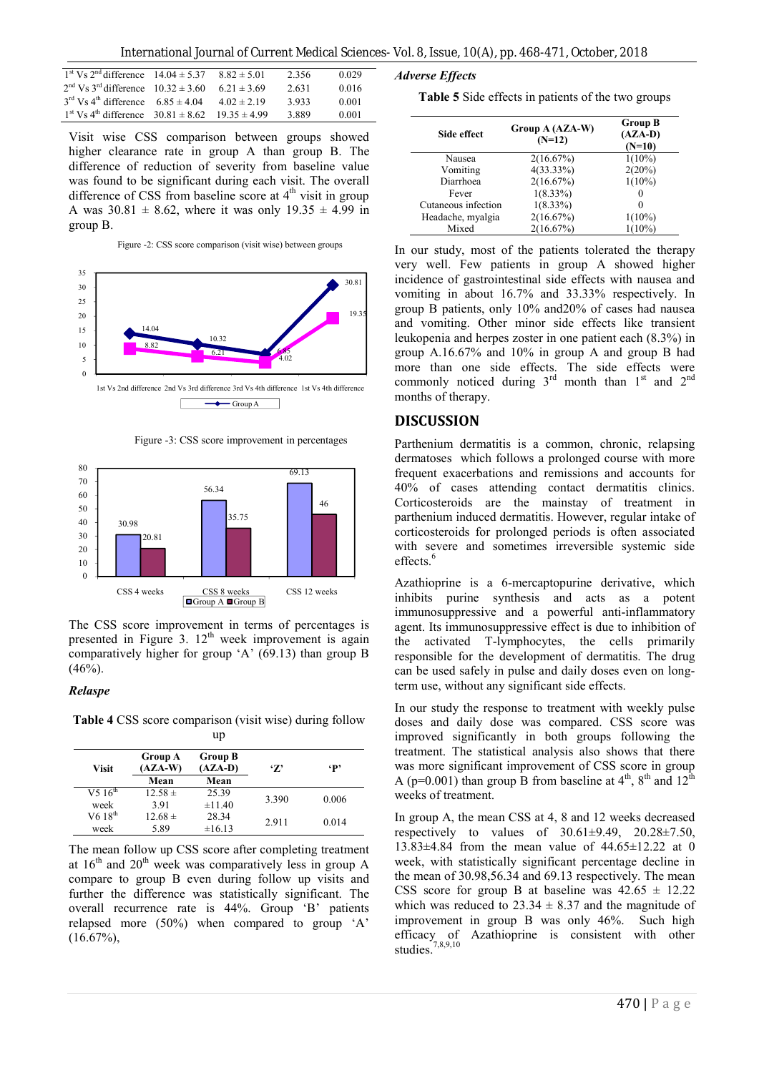International Journal of Current Medical Sciences- Vol. 8, Issue, 10(A), pp. 468-471, October, 2018

| $1st$ Vs $2nd$ difference $14.04 \pm 5.37$                     | $8.82 \pm 5.01$  | 2.356 | 0.029 |
|----------------------------------------------------------------|------------------|-------|-------|
| $2nd$ Vs 3 <sup>rd</sup> difference 10.32 $\pm$ 3.60           | $6.21 \pm 3.69$  | 2.631 | 0.016 |
| $3rd$ Vs 4 <sup>th</sup> difference $6.85 \pm 4.04$            | $4.02 \pm 2.19$  | 3.933 | 0.001 |
| $1^{\text{st}}$ Vs $4^{\text{th}}$ difference $30.81 \pm 8.62$ | $19.35 \pm 4.99$ | 3.889 | 0.001 |

Visit wise CSS comparison between groups showed higher clearance rate in group A than group B. The difference of reduction of severity from baseline value was found to be significant during each visit. The overall difference of CSS from baseline score at  $4<sup>th</sup>$  visit in group A was  $30.81 \pm 8.62$ , where it was only  $19.35 \pm 4.99$  in group B.

Figure -2: CSS score comparison (visit wise) between groups



Figure -3: CSS score improvement in percentages



The CSS score improvement in terms of percentages is presented in Figure 3.  $12<sup>th</sup>$  week improvement is again comparatively higher for group 'A' (69.13) than group B  $(46%).$ 

#### *Relaspe*

**Table 4** CSS score comparison (visit wise) during follow up

| Visit                           | Group A<br>$(AZA-W)$ | <b>Group B</b><br>$(AZA-D)$ | '7'   | $\cdot$ p |
|---------------------------------|----------------------|-----------------------------|-------|-----------|
|                                 | Mean                 | Mean                        |       |           |
| V <sub>5</sub> $16^{\text{th}}$ | $12.58 \pm$          | 25.39                       | 3.390 | 0.006     |
| week                            | 391                  | ±11.40                      |       |           |
| $V618^{th}$                     | $12.68 \pm$          | 28.34                       | 2.911 | 0.014     |
| week                            | 5.89                 | ±16.13                      |       |           |

The mean follow up CSS score after completing treatment at  $16<sup>th</sup>$  and  $20<sup>th</sup>$  week was comparatively less in group A compare to group B even during follow up visits and further the difference was statistically significant. The overall recurrence rate is 44%. Group 'B' patients relapsed more (50%) when compared to group 'A'  $(16.67\%)$ ,

*Adverse Effects*

| Table 5 Side effects in patients of the two groups |  |  |  |
|----------------------------------------------------|--|--|--|
|----------------------------------------------------|--|--|--|

| Side effect         | Group A (AZA-W)<br>$(N=12)$ | <b>Group B</b><br>$(AZA-D)$<br>$(N=10)$ |
|---------------------|-----------------------------|-----------------------------------------|
| Nausea              | 2(16.67%)                   | $1(10\%)$                               |
| Vomiting            | $4(33.33\%)$                | 2(20%)                                  |
| Diarrhoea           | 2(16.67%)                   | $1(10\%)$                               |
| Fever               | $1(8.33\%)$                 |                                         |
| Cutaneous infection | $1(8.33\%)$                 |                                         |
| Headache, myalgia   | 2(16.67%)                   | $1(10\%)$                               |
| Mixed               | 2(16.67%)                   | $1(10\%)$                               |

In our study, most of the patients tolerated the therapy very well. Few patients in group A showed higher incidence of gastrointestinal side effects with nausea and vomiting in about 16.7% and 33.33% respectively. In group B patients, only 10% and20% of cases had nausea and vomiting. Other minor side effects like transient leukopenia and herpes zoster in one patient each (8.3%) in group A.16.67% and 10% in group A and group B had more than one side effects. The side effects were commonly noticed during  $3<sup>rd</sup>$  month than  $1<sup>st</sup>$  and  $2<sup>nd</sup>$ months of therapy.

### **DISCUSSION**

Parthenium dermatitis is a common, chronic, relapsing dermatoses which follows a prolonged course with more frequent exacerbations and remissions and accounts for 40% of cases attending contact dermatitis clinics. Corticosteroids are the mainstay of treatment in parthenium induced dermatitis. However, regular intake of corticosteroids for prolonged periods is often associated with severe and sometimes irreversible systemic side effects.<sup>6</sup>

Azathioprine is a 6-mercaptopurine derivative, which inhibits purine synthesis and acts as a potent immunosuppressive and a powerful anti-inflammatory agent. Its immunosuppressive effect is due to inhibition of the activated T-lymphocytes, the cells primarily responsible for the development of dermatitis. The drug can be used safely in pulse and daily doses even on longterm use, without any significant side effects.

In our study the response to treatment with weekly pulse doses and daily dose was compared. CSS score was improved significantly in both groups following the treatment. The statistical analysis also shows that there was more significant improvement of CSS score in group A (p=0.001) than group B from baseline at  $4<sup>th</sup>$ ,  $8<sup>th</sup>$  and  $12<sup>th</sup>$ weeks of treatment.

In group A, the mean CSS at 4, 8 and 12 weeks decreased respectively to values of  $30.61\pm9.49$ ,  $20.28\pm7.50$ , 13.83±4.84 from the mean value of 44.65±12.22 at 0 week, with statistically significant percentage decline in the mean of 30.98,56.34 and 69.13 respectively. The mean CSS score for group B at baseline was  $42.65 \pm 12.22$ which was reduced to  $23.34 \pm 8.37$  and the magnitude of improvement in group B was only 46%. Such high efficacy of Azathioprine is consistent with other studies.<sup>7,8,9,10</sup>